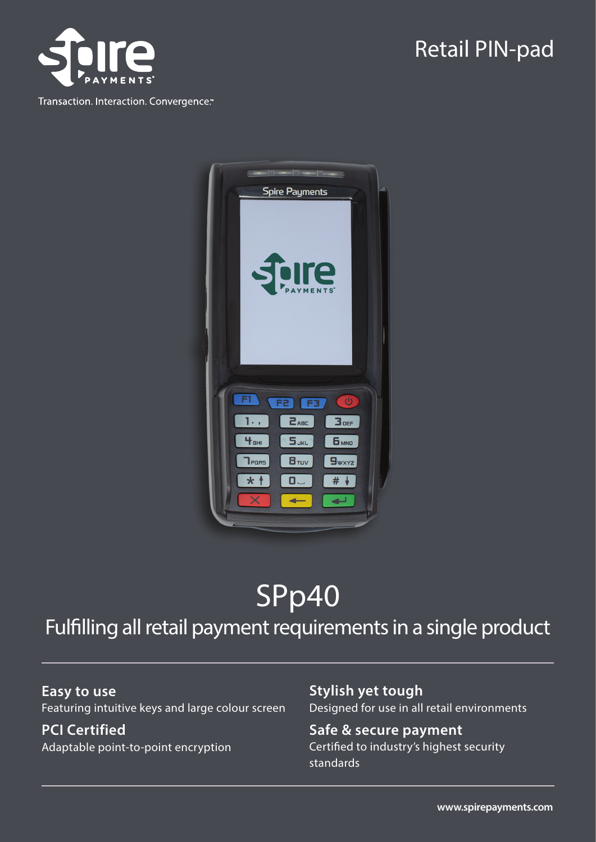

Transaction. Interaction. Convergence."

## Retail PIN-pad



# SPp40

### Fulfilling all retail payment requirements in a single product

**Easy to use** Featuring intuitive keys and large colour screen

**PCI Certified** Adaptable point-to-point encryption **Stylish yet tough** Designed for use in all retail environments

#### **Safe & secure payment** Certified to industry's highest security standards

**www.spirepayments.com**